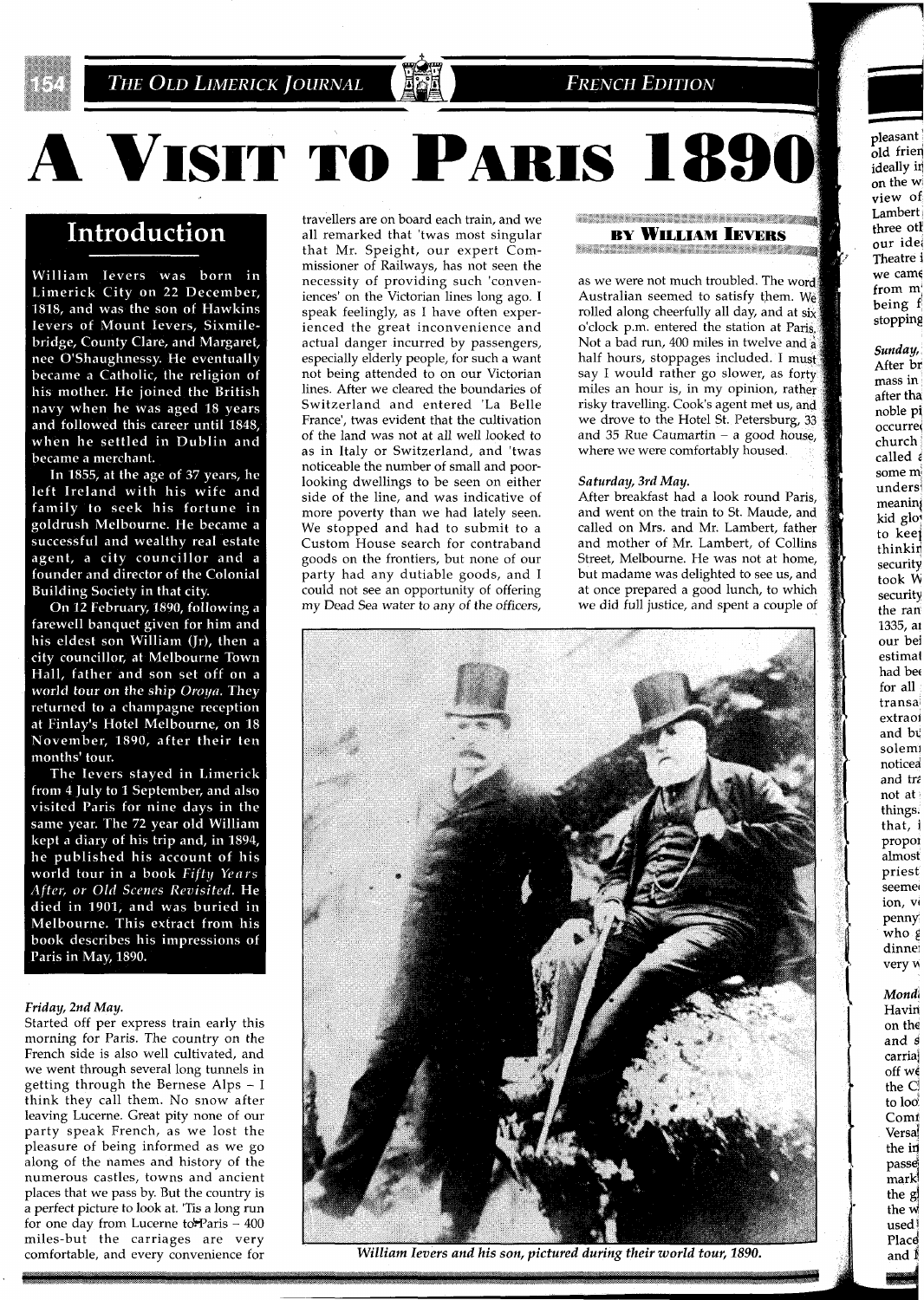

## **FRENCH EDITION**

# A VISIT TO PARIS 1890

# Introduction

William Ievers was born in Limerick City on 22 December, 1818, and was the son of Hawkins Ievers of Mount Ievers, Sixmilebridge, County Clare, and Margaret, nee O'Shaughnessy. He eventually became a Catholic, the religion of his mother. He joined the British navy when he was aged 18 years and followed this career until 1848, when he settled in Dublin and became a merchant.

In 1855, at the age of 37 years, he left Ireland with his wife and family to seek his fortune in goldrush Melbourne. He became a successful and wealthy real estate agent, a city councillor and a founder and director of the Colonial Building Society in that city.

On 12 February, 1890, following a farewell banquet given for him and his eldest son William (Jr), then a city councillor, at Melbourne Town Hall, father and son set off on a world tour on the ship Oroya. They returned to a champagne reception at Finlay's Hotel Melbourne, on 18 November, 1890, after their ten months' tour.

The Ievers stayed in Limerick from 4 July to 1 September, and also visited Paris for nine days in the same year. The 72 year old William kept a diary of his trip and, in 1894, he published his account of his world tour in a book Fifty Years After, or Old Scenes Revisited. He died in 1901, and was buried in Melbourne. This extract from his book describes his impressions of Paris in May, 1890.

## *Friday, 2nd May.*

Started off per express train early this morning for Paris. The country on the French side is also well cultivated, and we went through several long tunnels in getting through the Bernese Alps - I think they call them. No snow after leaving Lucerne. Great pity none of our party speak French, as we lost the pleasure of being informed as we go along of the names and history of the numerous castles, towns and ancient places that we pass by. But the country is a perfect picture to look at. 'Tis a long run for one day from Lucerne to Paris  $-400$ miles-but the carriages are very comfortable, and every convenience for

travellers are on board each train, and we all remarked that 'twas most singular that Mr. Speight, our expert Commissioner of Railways, has not seen the necessity of providing such 'conveniences' on the Victorian lines long ago. I speak feelingly, as I have often experienced the great inconvenience and actual danger incurred by passengers, especially elderly people, for such a want not being attended to on our Victorian lines. After we cleared the boundaries of Switzerland and entered 'La Belle France', twas evident that the cultivation of the land was not at all well looked to as in Italy or Switzerland, and 'twas noticeable the number of small and poorlooking dwellings to be seen on either side of the line, and was indicative of more poverty than we had lately seen. We stopped and had to submit to a Custom House search for contraband goods on the frontiers, but none of our party had any dutiable goods, and I could not see an opportunity of offering my Dead Sea water to any of the officers,

## +.;\*,+\*r~~+.;;:;:,"h\*++ e+r.\*Z\*+!; **BY WILLIAM IEVERS**

**+Q,;** ::;a-+ +,.+,+;- ::\$\* **\*\*+\*\*IL;~** 

as we were not much troubled. The word Australian seemed to satisfy them. We rolled along cheerfully all day, and at six o'clock p.m. entered the station at Paris. Not a bad run, 400 miles in twelve and <sup>5</sup> half hours, stoppages included. I must say I would rather go slower, as forty miles an hour is, in my opinion, rather risky travelling. Cook's agent met us, and we drove to the Hotel St. Petersburg, 33 and 35 Rue Caumartin  $-$  a good house, where we were comfortably housed.

## *Saturday, 3rd May.*

After breakfast had a look round Paris, and went on the train to St. Maude, and called on Mrs. and Mr. Lambert, father and mother of Mr. Lambert, of Collins Street, Melbourne. He was not at home, but madame was delighted to see us, and at once prepared a good lunch, to which we did full justice, and spent a couple of



William Ievers and his son, pictured during their world tour, 1890.

Lambert three otl

pleasant  $\int_0^{\mathbf{r}} d\mathbf{r}$  frien ideally in on the w view of

> *Mondi*  Havin' on the and **<sup>4</sup>** carria] off we the Cl to loo **Comf** Versa the in passd mark! the g\ the M1 used Place and  $\mathbb{I}$

who **<sup>g</sup>** dinnej very M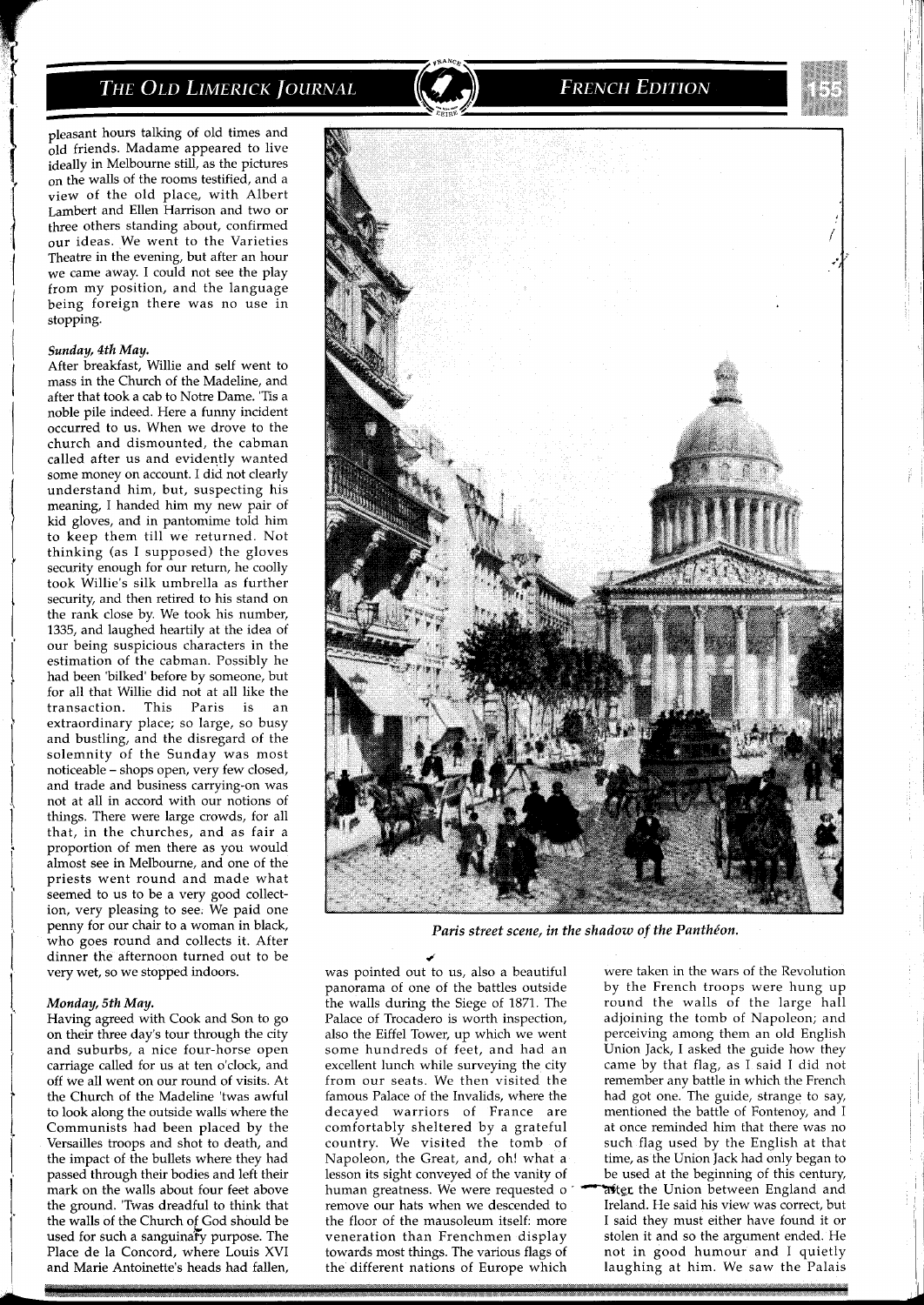pleasant hours talking of old times and old friends. Madame appeared to live ideally in Melbourne still, as the pictures on the walls of the rooms testified, and a view of the old place, with Albert Lambert and Ellen Harrison and two or three others standing about, confirmed our ideas. We went to the Varieties Theatre in the evening, but after an hour we came away. I could not see the play from my position, and the language being foreign there was no use in stopping.

## *Sunday, 4th May.*

After breakfast, Willie and self went to mass in the Church of the Madeline, and after that took a cab to Notre Dame. 'Tis a noble pile indeed. Here a funny incident occurred to us. When we drove to the church and dismounted, the cabman called after us and evidently wanted some money on account. I did not clearly understand him, but, suspecting his meaning, I handed him my new pair of kid gloves, and in pantomime told him to keep them till-we returned. Not thinking (as I supposed) the gloves security enough for our return, he coolly took Willie's silk umbrella as further security, and then retired to his stand on the rank close by. We took his number, 1335, and laughed heartily at the idea of our being suspicious characters in the estimation of the cabman. Possibly he had been 'bilked' before by someone, but for all that Willie did not at all like the transaction. This Paris is an extraordinary place; so large, so busy and bustling, and the disregard of the solemnity of the Sunday was most noticeable - shops open, very few closed, and trade and business carrying-on was not at all in accord with our notions of things. There were large crowds, for all that, in the churches, and as fair a proportion of men there as you would almost see in Melbourne, and one of the priests went round and made what seemed to us to be a very good collection, very pleasing to see. We paid one penny for our chair to a woman in black, who goes round and collects it. After dinner the afternoon turned out to be very wet, so we stopped indoors.

#### *Monday, 5th May.*

Having agreed with Cook and Son to go on their three day's tour through the city and suburbs, a nice four-horse open carriage called for us at ten o'clock, and off we all went on our round of visits. At the Church of the Madeline 'twas awful to look along the outside walls where the Communists had been placed by the Versailles troops and shot to death, and the impact of the bullets where they had passed through their bodies and left their mark on the walls about four feet above the ground. 'Twas dreadful to think that the walls of the Church of God should be used for such a sanguinary purpose. The Place de la Concord, where Louis XVI and Marie Antoinette's heads had fallen,



**FRENCH EDITION** 

Paris street scene, in the shadow of the Panthéon.

*d*  was pointed out to us, also a beautiful were taken in the wars of the Revolution panorama of one of the battles outside by the French troops were hung up the walls during the Siege of 1871. The round the walls of the large hall the walls during the Siege of 1871. The Palace of Trocadero is worth inspection, also the Eiffel Tower, up which we went some hundreds of feet, and had an some hundreds of feet, and had an Union Jack, I asked the guide how they excellent lunch while surveying the city came by that flag, as I said I did not famous Palace of the Invalids, where the decayed warriors of France are comfortably sheltered by a grateful country. We visited the tomb of Napoleon, the Great, and, oh! what a lesson its sight conveyed of the vanity of human greatness. We were requested o remove our hats when we descended to the floor of the mausoleum itself: more<br>veneration than Frenchmen display towards most things. The various flags of not in good humour and I quietly the different nations of Europe which laughing at him. We saw the Palais the different nations of Europe which

adjoining the tomb of Napoleon; and<br>perceiving among them an old English came by that flag, as I said I did not from our seats. We then visited the remember any battle in which the French the state of the state of the state had got one. The guide, strange to say, mentioned the battle of Fontenoy, and I at once reminded him that there was no such flag used by the English at that time, as the Union Jack had only began to be used at the beginning of this century, atter the Union between England and Ireland. He said his view was correct, but I said thev must either have found it or stolen it and so the argument ended. He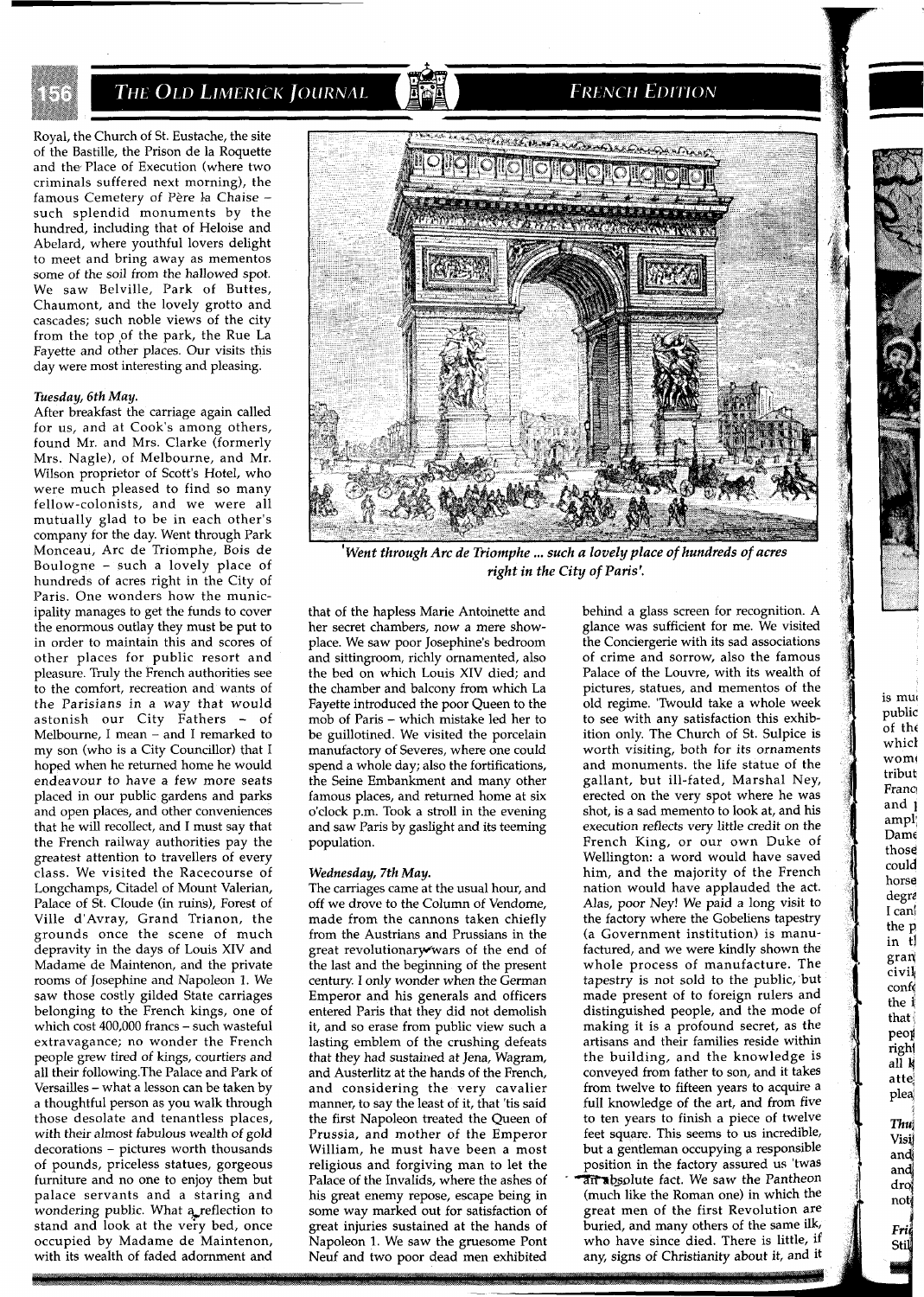

Royal, the Church of St. Eustache, the site of the Bastille, the Prison de la Roquette and the Place of Execution (where two criminals suffered next morning), the famous Cemetery of Père la Chaise -<br>such splendid monuments by the hundred, including that of Heloise and Abelard, where youthful lovers delight to meet and bring away as mementos some of the soil from the hallowed spot. We saw Belville, Park of Buttes, Chaumont, and the lovely grotto and cascades; such noble views of the city from the top of the park, the Rue La Fayette and other places. Our visits this day were most interesting and pleasing.

## *Tuesday, 6th May.*

After breakfast the carriage again called for us, and at Cook's among others, found Mr. and Mrs. Clarke (formerly Mrs. Nagle), of Melbourne, and Mr. Wilson proprietor of Scott's Hotel, who were much pleased to find so many fellow-colonists, and we were all mutually glad to be in each other's company for the day. Went through Park Monceau, Arc de Triomphe, Bois de Boulogne - such a lovely place of hundreds of acres right in the City of Paris. One wonders how the municipality manages to get the funds to cover the enormous outlay they must be put to in order to maintain this and scores of other places for public resort and pleasure. Truly the French authorities see to the comfort, recreation and wants of the Parisians in a way that would astonish our City Fathers - of Melbourne, I mean - and I remarked to my son (who is a City Councillor) that I hoped when he returned home he would endeavour to have a few more seats placed in our public gardens and parks and open places, and other conveniences that he will recollect, and I must say that the French railway authorities pay the greatest attention to travellers of every class. We visited the Racecourse of Longchamps, Citadel of Mount Valerian, Palace of St. Cloude (in ruins), Forest of Ville d'Avray, Grand Trianon, the grounds once the scene of much depravity in the days of Louis XIV and Madame de Maintenon, and the private rooms of Josephine and Napoleon **1.** We saw those costly gilded State carriages belonging to the French kings, one of which cost 400,000 francs - such wasteful extravagance; no wonder the French people grew tired of kings, courtiers and all their following.The Palace and Park of Versailles - what a lesson can be taken by a thoughtful person as you walk through those desolate and tenantless places, with their almost fabulous wealth of gold decorations - pictures worth thousands of pounds, priceless statues, gorgeous furniture and no one to enjoy them but palace servants and a staring and wondering public. What a reflection to stand and look at the very bed, once occupied by Madame de Maintenon, with its wealth of faded adornment and



**FRENCH EDITION** 

 $W$ ent through Arc de Triomphe ... such a lovely place of hundreds of acres *right in the City of Paris'.* 

that of the hapless Marie Antoinette and her secret chambers, now a mere showplace. We saw poor Josephine's bedroom and sittingroom, richly ornamented, also the bed on which Louis XIV died; and the chamber and balcony from which La Fayette introduced the poor Queen to the mob of Paris - which mistake led her to be guillotined. We visited the porcelain manufactory of Severes, where one could spend a whole day; also the fortifications, the Seine Embankment and many other famous places, and returned home at six o'clock p.m. Took a stroll in the evening and saw Paris by gaslight and its teeming population.

## *Wednesday, 7th May.*

The carriages came at the usual hour, and off we drove to the Column of Vendome, made from the cannons taken chiefly from the Austrians and Prussians in the great revolutionary wars of the end of the last and the beginning of the present century. I only wonder when the German Emperor and his generals and officers entered Paris that they did not demolish it, and so erase from public view such a lasting emblem of the crushing defeats that they had sustained at Jena, Wagram, and Austerlitz at the hands of the French, and considering the very cavalier manner, to say the least of it, that 'tis said the first Napoleon treated the Queen of Prussia, and mother of the Emperor William, he must have been a most religious and forgiving man to let the Palace of the Invalids, where the ashes of his great enemy repose, escape being in some way marked out for satisfaction of great injuries sustained at the hands of Napoleon 1. We saw the gruesome Pont Neuf and two poor dead men exhibited

behind a glass screen for recognition. A glance was sufficient for me. We visited the Conciergerie with its sad associations of crime and sorrow, also the famous Palace of the Louvre, with its wealth of pictures, statues, and mementos of the old regime. 'Twould take a whole week to see with any satisfaction this exhibition only. The Church of St. Sulpice is worth visiting, both for its ornaments and monuments. the life statue of the gallant, but ill-fated, Marshal Ney, erected on the very spot where he was shot, is a sad memento to look at, and his execution reflects very little credit on the French King, or our own Duke of Wellington: a word would have saved him, and the majority of the French nation would have applauded the act. Alas, poor Ney! We paid a long visit to the factory where the Gobeliens tapestry (a Government institution) is manufactured, and we were kindly shown the whole process of manufacture. The tapestry is not sold to the public, but made present of to foreign rulers and distinguished people, and the mode of making it is a profound secret, as the artisans and their families reside within the building, and the knowledge is conveyed from father to son, and it takes from twelve to fifteen years to acquire a full knowledge of the art, and from five to ten years to finish a piece of twelve feet square. This seems to us incredible, but a gentleman occupying a responsible position in the factory assured us 'twas an absolute fact. We saw the Pantheon (much like the Roman one) in which the great men of the first Revolution are buried, and many others of the same ilk, who have since died. There is little, if any, signs of Christianity about it, and it **m** 

 $\tilde{\text{of}}$  the which wome tribut Franc and **<sup>I</sup>** amp1 Dame those could horse degra I can! the p in tj gran civi4 conf the **i**  that peop righl all **4**  attej pled ! Thu<br>Visi

> and and droj not Fri Stil

is mu public